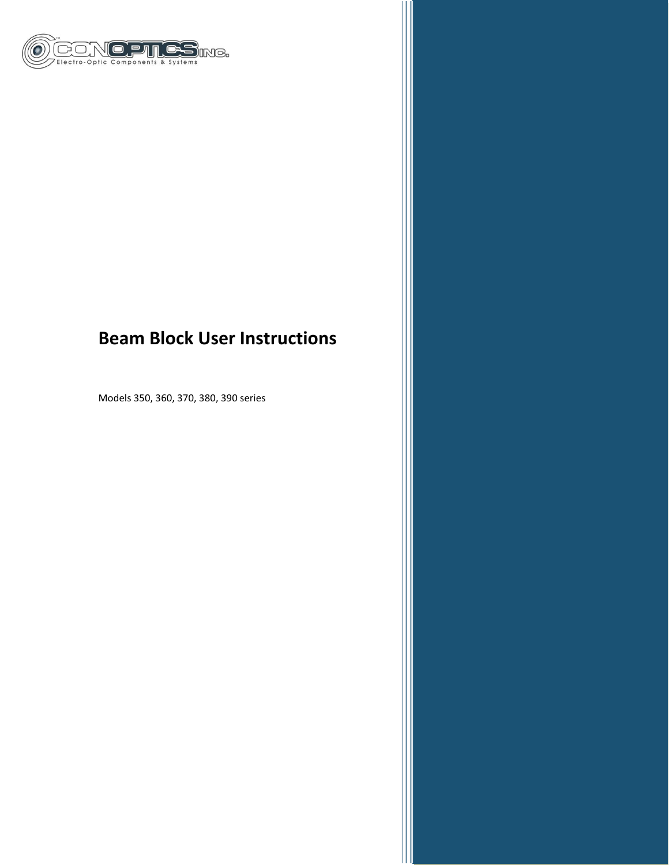

# **Beam Block User Instructions**

Models 350, 360, 370, 380, 390 series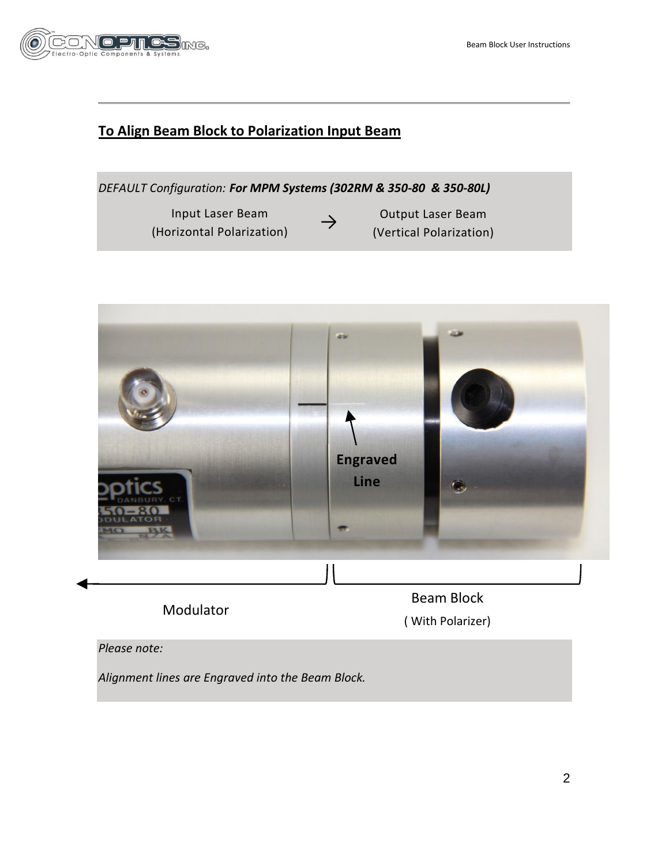

# **To Align Beam Block to Polarization Input Beam**

*DEFAULT Configuration: For MPM Systems (302RM & 350-80 & 350-80L)*

→<br>(Horizontal Polarization) Input Laser Beam

Output Laser Beam (Vertical Polarization)

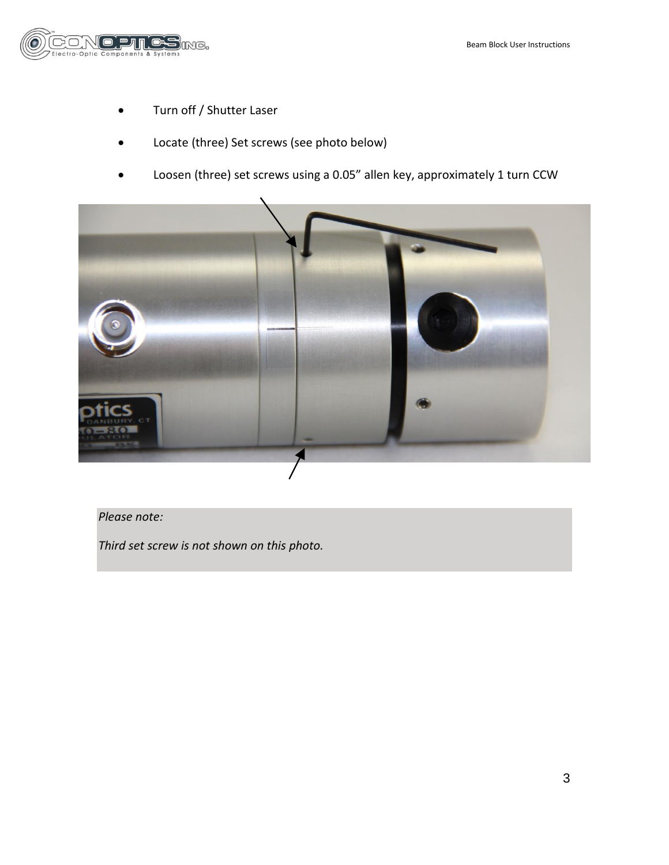

- Turn off / Shutter Laser
- Locate (three) Set screws (see photo below)
- Loosen (three) set screws using a 0.05" allen key, approximately 1 turn CCW



## *Please note:*

*Third set screw is not shown on this photo.*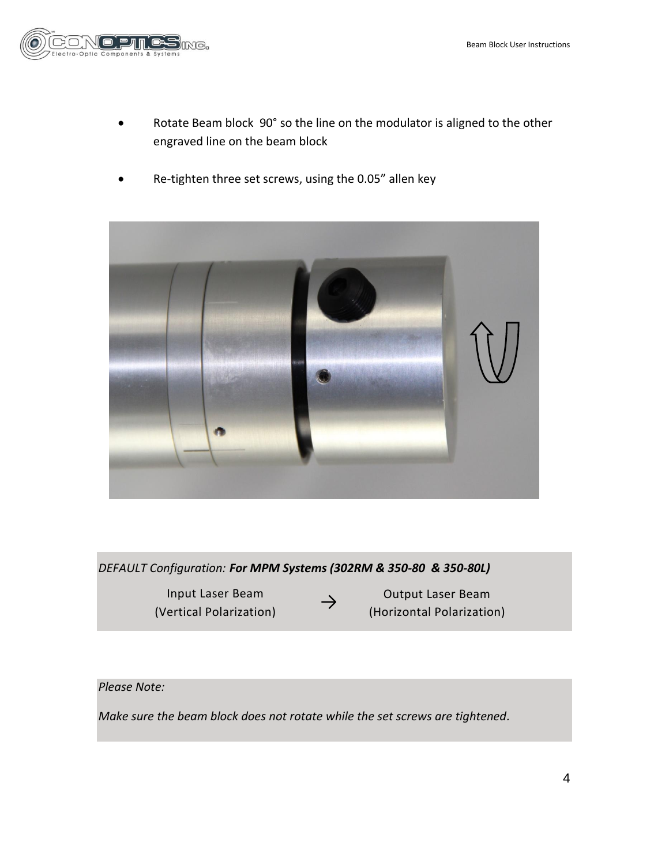

- Rotate Beam block 90° so the line on the modulator is aligned to the other engraved line on the beam block
- Re-tighten three set screws, using the 0.05" allen key



*DEFAULT Configuration: For MPM Systems (302RM & 350-80 & 350-80L)*

mput Laser Beam<br>
(Vertical Polarization) Input Laser Beam

Output Laser Beam (Horizontal Polarization)

## *Please Note:*

*Make sure the beam block does not rotate while the set screws are tightened.*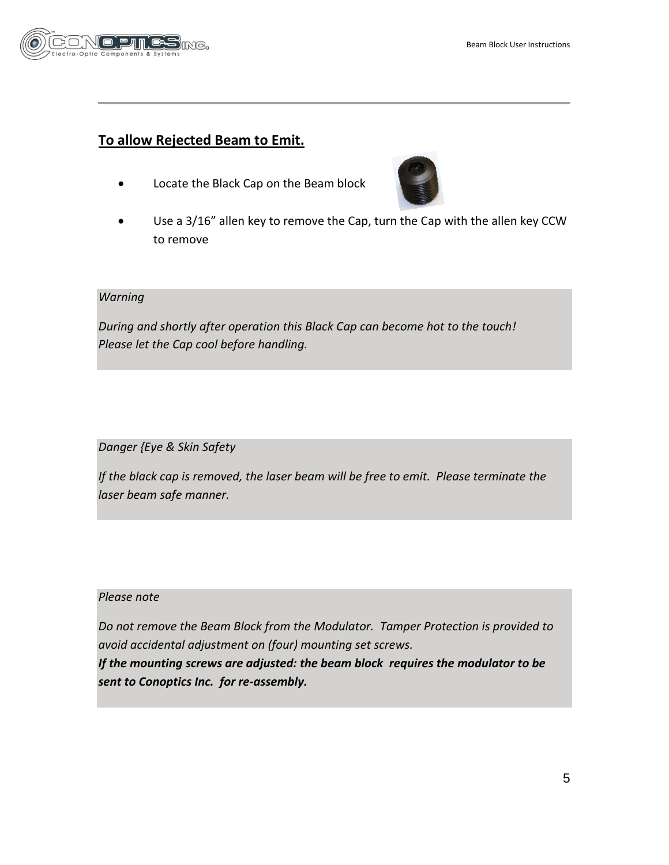

## **To allow Rejected Beam to Emit.**

Locate the Black Cap on the Beam block



 Use a 3/16" allen key to remove the Cap, turn the Cap with the allen key CCW to remove

## *Warning*

*During and shortly after operation this Black Cap can become hot to the touch! Please let the Cap cool before handling.*

*Danger {Eye & Skin Safety*

*If the black cap is removed, the laser beam will be free to emit. Please terminate the laser beam safe manner.* 

## *Please note*

*Do not remove the Beam Block from the Modulator. Tamper Protection is provided to avoid accidental adjustment on (four) mounting set screws.*

*If the mounting screws are adjusted: the beam block requires the modulator to be sent to Conoptics Inc. for re-assembly.*